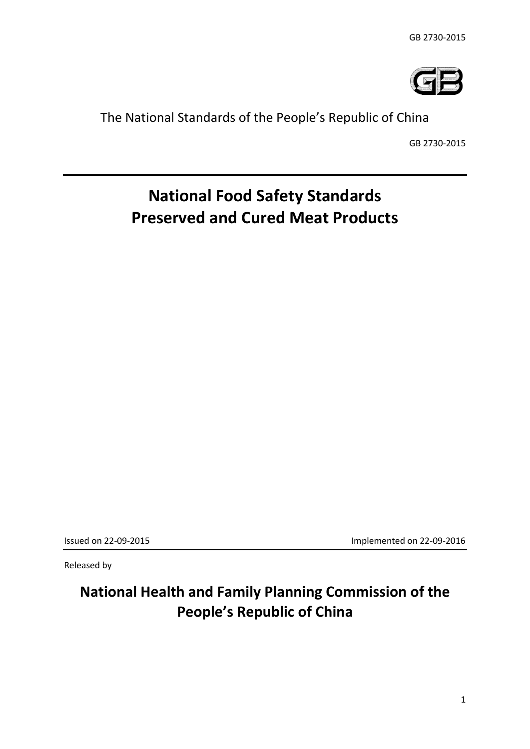

# The National Standards of the People's Republic of China

GB 2730-2015

# **National Food Safety Standards Preserved and Cured Meat Products**

Issued on 22-09-2015 Implemented on 22-09-2016

Released by

**National Health and Family Planning Commission of the People's Republic of China**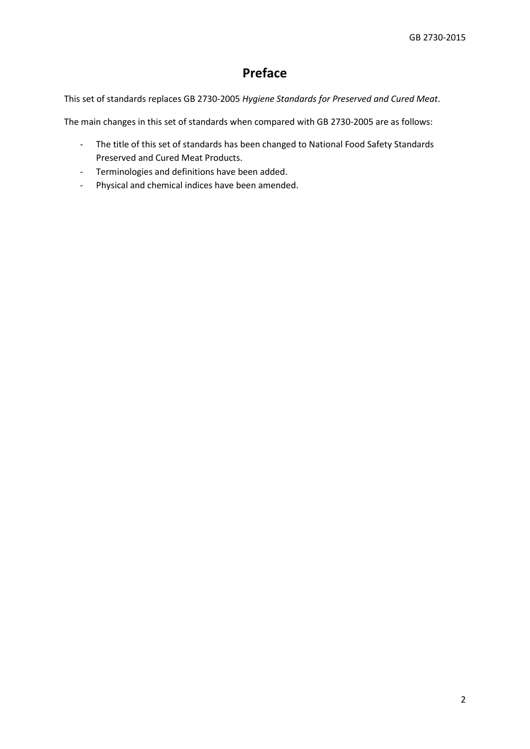# **Preface**

This set of standards replaces GB 2730-2005 *Hygiene Standards for Preserved and Cured Meat*.

The main changes in this set of standards when compared with GB 2730-2005 are as follows:

- The title of this set of standards has been changed to National Food Safety Standards Preserved and Cured Meat Products.
- Terminologies and definitions have been added.
- Physical and chemical indices have been amended.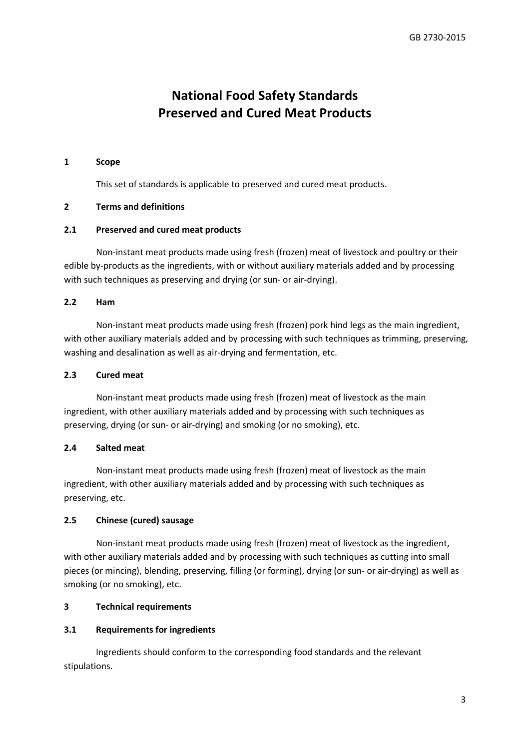# **National Food Safety Standards Preserved and Cured Meat Products**

#### **1 Scope**

This set of standards is applicable to preserved and cured meat products.

#### **2 Terms and definitions**

#### **2.1 Preserved and cured meat products**

Non-instant meat products made using fresh (frozen) meat of livestock and poultry or their edible by-products as the ingredients, with or without auxiliary materials added and by processing with such techniques as preserving and drying (or sun- or air-drying).

#### **2.2 Ham**

Non-instant meat products made using fresh (frozen) pork hind legs as the main ingredient, with other auxiliary materials added and by processing with such techniques as trimming, preserving, washing and desalination as well as air-drying and fermentation, etc.

#### **2.3 Cured meat**

Non-instant meat products made using fresh (frozen) meat of livestock as the main ingredient, with other auxiliary materials added and by processing with such techniques as preserving, drying (or sun- or air-drying) and smoking (or no smoking), etc.

#### **2.4 Salted meat**

Non-instant meat products made using fresh (frozen) meat of livestock as the main ingredient, with other auxiliary materials added and by processing with such techniques as preserving, etc.

## **2.5 Chinese (cured) sausage**

Non-instant meat products made using fresh (frozen) meat of livestock as the ingredient, with other auxiliary materials added and by processing with such techniques as cutting into small pieces (or mincing), blending, preserving, filling (or forming), drying (or sun- or air-drying) as well as smoking (or no smoking), etc.

#### **3 Technical requirements**

#### **3.1 Requirements for ingredients**

Ingredients should conform to the corresponding food standards and the relevant stipulations.